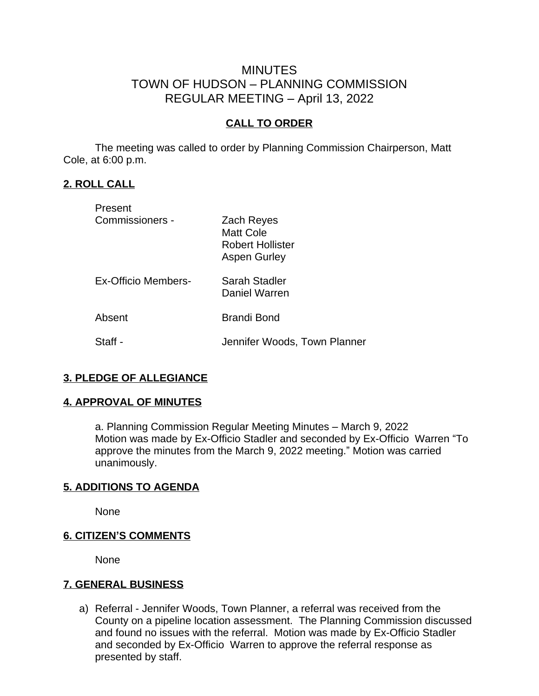# MINUTES TOWN OF HUDSON – PLANNING COMMISSION REGULAR MEETING – April 13, 2022

### **CALL TO ORDER**

The meeting was called to order by Planning Commission Chairperson, Matt Cole, at 6:00 p.m.

#### **2. ROLL CALL**

| Present             |                                                                           |
|---------------------|---------------------------------------------------------------------------|
| Commissioners -     | Zach Reyes<br><b>Matt Cole</b><br><b>Robert Hollister</b><br>Aspen Gurley |
| Ex-Officio Members- | Sarah Stadler<br>Daniel Warren                                            |
| Absent              | <b>Brandi Bond</b>                                                        |
| Staff -             | Jennifer Woods, Town Planner                                              |

#### **3. PLEDGE OF ALLEGIANCE**

#### **4. APPROVAL OF MINUTES**

a. Planning Commission Regular Meeting Minutes – March 9, 2022 Motion was made by Ex-Officio Stadler and seconded by Ex-Officio Warren "To approve the minutes from the March 9, 2022 meeting." Motion was carried unanimously.

#### **5. ADDITIONS TO AGENDA**

None

#### **6. CITIZEN'S COMMENTS**

None

#### **7. GENERAL BUSINESS**

a) Referral - Jennifer Woods, Town Planner, a referral was received from the County on a pipeline location assessment. The Planning Commission discussed and found no issues with the referral. Motion was made by Ex-Officio Stadler and seconded by Ex-Officio Warren to approve the referral response as presented by staff.